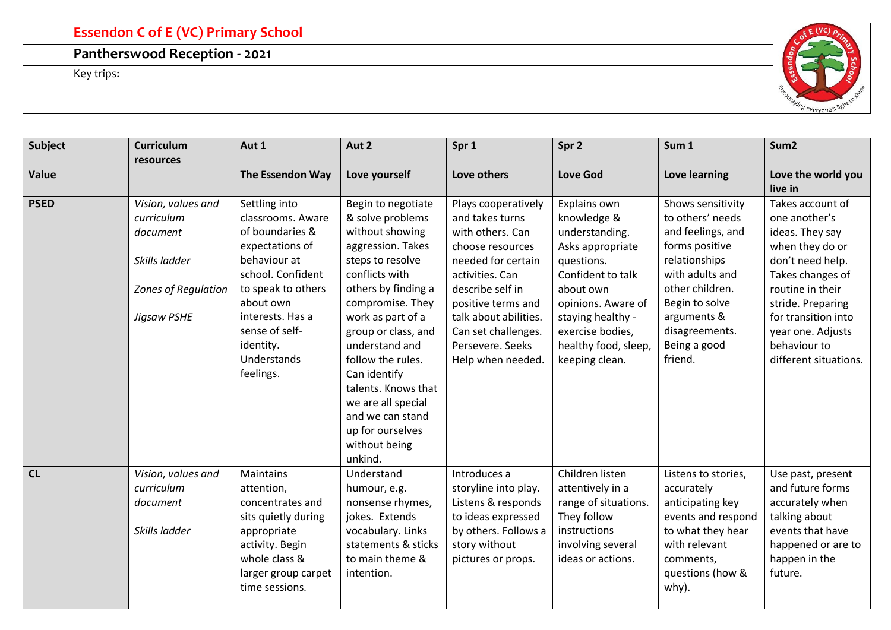## **Essendon C of E (VC) Primary School**

## **Pantherswood Reception - 2021**

Key trips:



| Subject     | <b>Curriculum</b><br>resources                                | Aut 1                                                                                                                                                                 | Aut 2                                                                                                                                                                                                                                | Spr 1                                                                                                                                           | Spr 2                                                                                                                                | Sum 1                                                                                                                                                       | Sum <sub>2</sub>                                                                                                                                |
|-------------|---------------------------------------------------------------|-----------------------------------------------------------------------------------------------------------------------------------------------------------------------|--------------------------------------------------------------------------------------------------------------------------------------------------------------------------------------------------------------------------------------|-------------------------------------------------------------------------------------------------------------------------------------------------|--------------------------------------------------------------------------------------------------------------------------------------|-------------------------------------------------------------------------------------------------------------------------------------------------------------|-------------------------------------------------------------------------------------------------------------------------------------------------|
| Value       |                                                               | The Essendon Way                                                                                                                                                      | Love yourself                                                                                                                                                                                                                        | Love others                                                                                                                                     | <b>Love God</b>                                                                                                                      | Love learning                                                                                                                                               | Love the world you<br>live in                                                                                                                   |
| <b>PSED</b> | Vision, values and<br>curriculum<br>document                  | Settling into<br>classrooms. Aware<br>of boundaries &<br>expectations of                                                                                              | Begin to negotiate<br>& solve problems<br>without showing<br>aggression. Takes                                                                                                                                                       | Plays cooperatively<br>and takes turns<br>with others. Can<br>choose resources                                                                  | Explains own<br>knowledge &<br>understanding.<br>Asks appropriate                                                                    | Shows sensitivity<br>to others' needs<br>and feelings, and<br>forms positive                                                                                | Takes account of<br>one another's<br>ideas. They say<br>when they do or                                                                         |
|             | Skills ladder<br>Zones of Regulation                          | behaviour at<br>school. Confident<br>to speak to others                                                                                                               | steps to resolve<br>conflicts with<br>others by finding a                                                                                                                                                                            | needed for certain<br>activities. Can<br>describe self in                                                                                       | questions.<br>Confident to talk<br>about own                                                                                         | relationships<br>with adults and<br>other children.                                                                                                         | don't need help.<br>Takes changes of<br>routine in their                                                                                        |
|             | Jigsaw PSHE                                                   | about own<br>interests. Has a<br>sense of self-<br>identity.<br>Understands<br>feelings.                                                                              | compromise. They<br>work as part of a<br>group or class, and<br>understand and<br>follow the rules.<br>Can identify<br>talents. Knows that<br>we are all special<br>and we can stand<br>up for ourselves<br>without being<br>unkind. | positive terms and<br>talk about abilities.<br>Can set challenges.<br>Persevere. Seeks<br>Help when needed.                                     | opinions. Aware of<br>staying healthy -<br>exercise bodies,<br>healthy food, sleep,<br>keeping clean.                                | Begin to solve<br>arguments &<br>disagreements.<br>Being a good<br>friend.                                                                                  | stride. Preparing<br>for transition into<br>year one. Adjusts<br>behaviour to<br>different situations.                                          |
| CL          | Vision, values and<br>curriculum<br>document<br>Skills ladder | <b>Maintains</b><br>attention,<br>concentrates and<br>sits quietly during<br>appropriate<br>activity. Begin<br>whole class &<br>larger group carpet<br>time sessions. | Understand<br>humour, e.g.<br>nonsense rhymes,<br>jokes. Extends<br>vocabulary. Links<br>statements & sticks<br>to main theme &<br>intention.                                                                                        | Introduces a<br>storyline into play.<br>Listens & responds<br>to ideas expressed<br>by others. Follows a<br>story without<br>pictures or props. | Children listen<br>attentively in a<br>range of situations.<br>They follow<br>instructions<br>involving several<br>ideas or actions. | Listens to stories,<br>accurately<br>anticipating key<br>events and respond<br>to what they hear<br>with relevant<br>comments,<br>questions (how &<br>why). | Use past, present<br>and future forms<br>accurately when<br>talking about<br>events that have<br>happened or are to<br>happen in the<br>future. |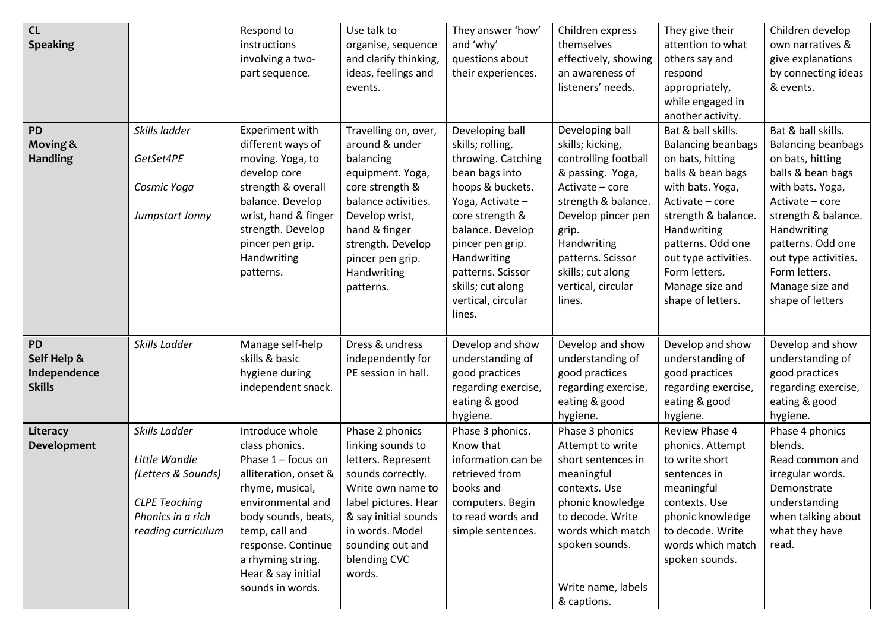| CL<br><b>Speaking</b><br>PD<br><b>Moving &amp;</b><br><b>Handling</b> | Skills ladder<br>GetSet4PE<br>Cosmic Yoga<br>Jumpstart Jonny                                                            | Respond to<br>instructions<br>involving a two-<br>part sequence.<br>Experiment with<br>different ways of<br>moving. Yoga, to<br>develop core<br>strength & overall<br>balance. Develop<br>wrist, hand & finger<br>strength. Develop<br>pincer pen grip. | Use talk to<br>organise, sequence<br>and clarify thinking,<br>ideas, feelings and<br>events.<br>Travelling on, over,<br>around & under<br>balancing<br>equipment. Yoga,<br>core strength &<br>balance activities.<br>Develop wrist,<br>hand & finger<br>strength. Develop | They answer 'how'<br>and 'why'<br>questions about<br>their experiences.<br>Developing ball<br>skills; rolling,<br>throwing. Catching<br>bean bags into<br>hoops & buckets.<br>Yoga, Activate -<br>core strength &<br>balance. Develop<br>pincer pen grip. | Children express<br>themselves<br>effectively, showing<br>an awareness of<br>listeners' needs.<br>Developing ball<br>skills; kicking,<br>controlling football<br>& passing. Yoga,<br>Activate - core<br>strength & balance.<br>Develop pincer pen<br>grip.<br>Handwriting | They give their<br>attention to what<br>others say and<br>respond<br>appropriately,<br>while engaged in<br>another activity.<br>Bat & ball skills.<br><b>Balancing beanbags</b><br>on bats, hitting<br>balls & bean bags<br>with bats. Yoga,<br>Activate - core<br>strength & balance.<br>Handwriting<br>patterns. Odd one | Children develop<br>own narratives &<br>give explanations<br>by connecting ideas<br>& events.<br>Bat & ball skills.<br><b>Balancing beanbags</b><br>on bats, hitting<br>balls & bean bags<br>with bats. Yoga,<br>Activate - core<br>strength & balance.<br>Handwriting<br>patterns. Odd one |
|-----------------------------------------------------------------------|-------------------------------------------------------------------------------------------------------------------------|---------------------------------------------------------------------------------------------------------------------------------------------------------------------------------------------------------------------------------------------------------|---------------------------------------------------------------------------------------------------------------------------------------------------------------------------------------------------------------------------------------------------------------------------|-----------------------------------------------------------------------------------------------------------------------------------------------------------------------------------------------------------------------------------------------------------|---------------------------------------------------------------------------------------------------------------------------------------------------------------------------------------------------------------------------------------------------------------------------|----------------------------------------------------------------------------------------------------------------------------------------------------------------------------------------------------------------------------------------------------------------------------------------------------------------------------|---------------------------------------------------------------------------------------------------------------------------------------------------------------------------------------------------------------------------------------------------------------------------------------------|
|                                                                       |                                                                                                                         | Handwriting<br>patterns.                                                                                                                                                                                                                                | pincer pen grip.<br>Handwriting<br>patterns.                                                                                                                                                                                                                              | Handwriting<br>patterns. Scissor<br>skills; cut along<br>vertical, circular<br>lines.                                                                                                                                                                     | patterns. Scissor<br>skills; cut along<br>vertical, circular<br>lines.                                                                                                                                                                                                    | out type activities.<br>Form letters.<br>Manage size and<br>shape of letters.                                                                                                                                                                                                                                              | out type activities.<br>Form letters.<br>Manage size and<br>shape of letters                                                                                                                                                                                                                |
| PD<br>Self Help &<br>Independence<br><b>Skills</b>                    | Skills Ladder                                                                                                           | Manage self-help<br>skills & basic<br>hygiene during<br>independent snack.                                                                                                                                                                              | Dress & undress<br>independently for<br>PE session in hall.                                                                                                                                                                                                               | Develop and show<br>understanding of<br>good practices<br>regarding exercise,<br>eating & good<br>hygiene.                                                                                                                                                | Develop and show<br>understanding of<br>good practices<br>regarding exercise,<br>eating & good<br>hygiene.                                                                                                                                                                | Develop and show<br>understanding of<br>good practices<br>regarding exercise,<br>eating & good<br>hygiene.                                                                                                                                                                                                                 | Develop and show<br>understanding of<br>good practices<br>regarding exercise,<br>eating & good<br>hygiene.                                                                                                                                                                                  |
| Literacy<br><b>Development</b>                                        | Skills Ladder<br>Little Wandle<br>(Letters & Sounds)<br><b>CLPE Teaching</b><br>Phonics in a rich<br>reading curriculum | Introduce whole<br>class phonics.<br>Phase 1 - focus on<br>alliteration, onset &<br>rhyme, musical,<br>environmental and<br>body sounds, beats,<br>temp, call and<br>response. Continue<br>a rhyming string.<br>Hear & say initial<br>sounds in words.  | Phase 2 phonics<br>linking sounds to<br>letters. Represent<br>sounds correctly.<br>Write own name to<br>label pictures. Hear<br>& say initial sounds<br>in words. Model<br>sounding out and<br>blending CVC<br>words.                                                     | Phase 3 phonics.<br>Know that<br>information can be<br>retrieved from<br>books and<br>computers. Begin<br>to read words and<br>simple sentences.                                                                                                          | Phase 3 phonics<br>Attempt to write<br>short sentences in<br>meaningful<br>contexts. Use<br>phonic knowledge<br>to decode. Write<br>words which match<br>spoken sounds.<br>Write name, labels                                                                             | Review Phase 4<br>phonics. Attempt<br>to write short<br>sentences in<br>meaningful<br>contexts. Use<br>phonic knowledge<br>to decode. Write<br>words which match<br>spoken sounds.                                                                                                                                         | Phase 4 phonics<br>blends.<br>Read common and<br>irregular words.<br>Demonstrate<br>understanding<br>when talking about<br>what they have<br>read.                                                                                                                                          |
|                                                                       |                                                                                                                         |                                                                                                                                                                                                                                                         |                                                                                                                                                                                                                                                                           |                                                                                                                                                                                                                                                           | & captions.                                                                                                                                                                                                                                                               |                                                                                                                                                                                                                                                                                                                            |                                                                                                                                                                                                                                                                                             |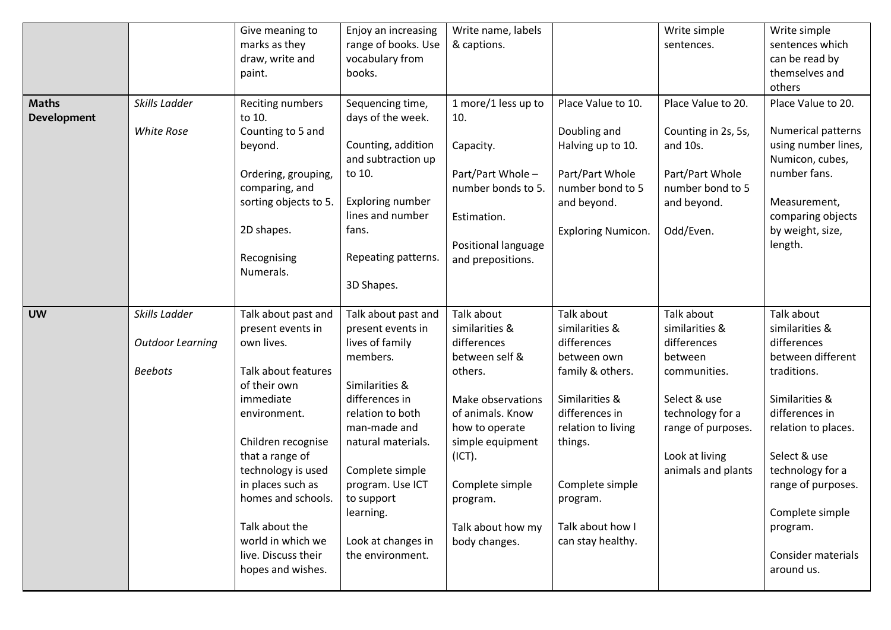|              |                         | Give meaning to       | Enjoy an increasing     | Write name, labels  |                                   | Write simple                    | Write simple                                     |
|--------------|-------------------------|-----------------------|-------------------------|---------------------|-----------------------------------|---------------------------------|--------------------------------------------------|
|              |                         | marks as they         | range of books. Use     | & captions.         |                                   | sentences.                      | sentences which                                  |
|              |                         | draw, write and       | vocabulary from         |                     |                                   |                                 | can be read by                                   |
|              |                         | paint.                | books.                  |                     |                                   |                                 | themselves and                                   |
|              |                         |                       |                         |                     |                                   |                                 | others                                           |
| <b>Maths</b> | Skills Ladder           | Reciting numbers      | Sequencing time,        | 1 more/1 less up to | Place Value to 10.                | Place Value to 20.              | Place Value to 20.                               |
| Development  |                         | to 10.                | days of the week.       | 10.                 |                                   |                                 |                                                  |
|              | <b>White Rose</b>       | Counting to 5 and     | Counting, addition      |                     | Doubling and<br>Halving up to 10. | Counting in 2s, 5s,<br>and 10s. | <b>Numerical patterns</b><br>using number lines, |
|              |                         | beyond.               | and subtraction up      | Capacity.           |                                   |                                 | Numicon, cubes,                                  |
|              |                         | Ordering, grouping,   | to 10.                  | Part/Part Whole -   | Part/Part Whole                   | Part/Part Whole                 | number fans.                                     |
|              |                         | comparing, and        |                         | number bonds to 5.  | number bond to 5                  | number bond to 5                |                                                  |
|              |                         | sorting objects to 5. | Exploring number        |                     | and beyond.                       | and beyond.                     | Measurement,                                     |
|              |                         |                       | lines and number        | Estimation.         |                                   |                                 | comparing objects                                |
|              |                         | 2D shapes.            | fans.                   |                     | <b>Exploring Numicon.</b>         | Odd/Even.                       | by weight, size,                                 |
|              |                         |                       |                         | Positional language |                                   |                                 | length.                                          |
|              |                         | Recognising           | Repeating patterns.     | and prepositions.   |                                   |                                 |                                                  |
|              |                         | Numerals.             | 3D Shapes.              |                     |                                   |                                 |                                                  |
|              |                         |                       |                         |                     |                                   |                                 |                                                  |
|              | Skills Ladder           |                       |                         | Talk about          |                                   | Talk about                      | Talk about                                       |
| <b>UW</b>    |                         | Talk about past and   | Talk about past and     |                     | Talk about                        |                                 |                                                  |
|              |                         | present events in     | present events in       | similarities &      | similarities &                    | similarities &                  | similarities &                                   |
|              | <b>Outdoor Learning</b> | own lives.            | lives of family         | differences         | differences                       | differences                     | differences                                      |
|              |                         |                       | members.                | between self &      | between own                       | between                         | between different                                |
|              | <b>Beebots</b>          | Talk about features   |                         | others.             | family & others.                  | communities.                    | traditions.                                      |
|              |                         | of their own          | Similarities &          |                     |                                   |                                 |                                                  |
|              |                         | immediate             | differences in          | Make observations   | Similarities &                    | Select & use                    | Similarities &                                   |
|              |                         | environment.          | relation to both        | of animals. Know    | differences in                    | technology for a                | differences in                                   |
|              |                         |                       | man-made and            | how to operate      | relation to living                | range of purposes.              | relation to places.                              |
|              |                         | Children recognise    | natural materials.      | simple equipment    | things.                           |                                 |                                                  |
|              |                         | that a range of       |                         | (ICT).              |                                   | Look at living                  | Select & use                                     |
|              |                         | technology is used    | Complete simple         |                     |                                   | animals and plants              | technology for a                                 |
|              |                         | in places such as     | program. Use ICT        | Complete simple     | Complete simple                   |                                 | range of purposes.                               |
|              |                         | homes and schools.    | to support<br>learning. | program.            | program.                          |                                 | Complete simple                                  |
|              |                         | Talk about the        |                         | Talk about how my   | Talk about how I                  |                                 | program.                                         |
|              |                         | world in which we     | Look at changes in      | body changes.       | can stay healthy.                 |                                 |                                                  |
|              |                         | live. Discuss their   | the environment.        |                     |                                   |                                 | Consider materials                               |
|              |                         | hopes and wishes.     |                         |                     |                                   |                                 | around us.                                       |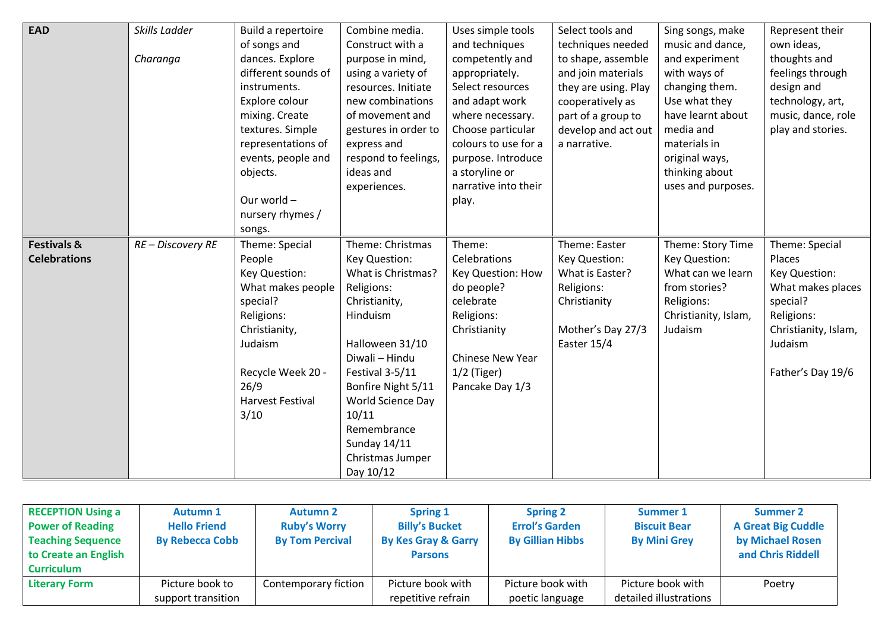| <b>EAD</b>             | Skills Ladder     | Build a repertoire      | Combine media.       | Uses simple tools    | Select tools and     | Sing songs, make     | Represent their      |
|------------------------|-------------------|-------------------------|----------------------|----------------------|----------------------|----------------------|----------------------|
|                        |                   | of songs and            | Construct with a     | and techniques       | techniques needed    | music and dance,     | own ideas,           |
|                        | Charanga          | dances. Explore         | purpose in mind,     | competently and      | to shape, assemble   | and experiment       | thoughts and         |
|                        |                   | different sounds of     | using a variety of   | appropriately.       | and join materials   | with ways of         | feelings through     |
|                        |                   | instruments.            | resources. Initiate  | Select resources     | they are using. Play | changing them.       | design and           |
|                        |                   | Explore colour          | new combinations     | and adapt work       | cooperatively as     | Use what they        | technology, art,     |
|                        |                   | mixing. Create          | of movement and      | where necessary.     | part of a group to   | have learnt about    | music, dance, role   |
|                        |                   | textures. Simple        | gestures in order to | Choose particular    | develop and act out  | media and            | play and stories.    |
|                        |                   | representations of      | express and          | colours to use for a | a narrative.         | materials in         |                      |
|                        |                   | events, people and      | respond to feelings, | purpose. Introduce   |                      | original ways,       |                      |
|                        |                   | objects.                | ideas and            | a storyline or       |                      | thinking about       |                      |
|                        |                   |                         | experiences.         | narrative into their |                      | uses and purposes.   |                      |
|                        |                   | Our world -             |                      | play.                |                      |                      |                      |
|                        |                   | nursery rhymes /        |                      |                      |                      |                      |                      |
|                        |                   | songs.                  |                      |                      |                      |                      |                      |
| <b>Festivals &amp;</b> | RE - Discovery RE | Theme: Special          | Theme: Christmas     | Theme:               | Theme: Easter        | Theme: Story Time    | Theme: Special       |
| <b>Celebrations</b>    |                   | People                  | Key Question:        | Celebrations         | Key Question:        | Key Question:        | Places               |
|                        |                   | Key Question:           | What is Christmas?   | Key Question: How    | What is Easter?      | What can we learn    | Key Question:        |
|                        |                   | What makes people       | Religions:           | do people?           | Religions:           | from stories?        | What makes places    |
|                        |                   | special?                | Christianity,        | celebrate            | Christianity         | Religions:           | special?             |
|                        |                   | Religions:              | Hinduism             | Religions:           |                      | Christianity, Islam, | Religions:           |
|                        |                   | Christianity,           |                      | Christianity         | Mother's Day 27/3    | Judaism              | Christianity, Islam, |
|                        |                   | Judaism                 | Halloween 31/10      |                      | Easter 15/4          |                      | Judaism              |
|                        |                   |                         | Diwali - Hindu       | Chinese New Year     |                      |                      |                      |
|                        |                   | Recycle Week 20 -       | Festival 3-5/11      | $1/2$ (Tiger)        |                      |                      | Father's Day 19/6    |
|                        |                   | 26/9                    | Bonfire Night 5/11   | Pancake Day 1/3      |                      |                      |                      |
|                        |                   | <b>Harvest Festival</b> | World Science Day    |                      |                      |                      |                      |
|                        |                   | 3/10                    | 10/11                |                      |                      |                      |                      |
|                        |                   |                         | Remembrance          |                      |                      |                      |                      |
|                        |                   |                         | Sunday 14/11         |                      |                      |                      |                      |
|                        |                   |                         | Christmas Jumper     |                      |                      |                      |                      |
|                        |                   |                         | Day 10/12            |                      |                      |                      |                      |

| <b>RECEPTION Using a</b><br><b>Power of Reading</b><br><b>Teaching Sequence</b><br>to Create an English<br><b>Curriculum</b> | <b>Autumn 1</b><br><b>Hello Friend</b><br><b>By Rebecca Cobb</b> | <b>Autumn 2</b><br><b>Ruby's Worry</b><br><b>By Tom Percival</b> | Spring 1<br><b>Billy's Bucket</b><br><b>By Kes Gray &amp; Garry</b><br><b>Parsons</b> | <b>Spring 2</b><br><b>Errol's Garden</b><br><b>By Gillian Hibbs</b> | <b>Summer 1</b><br><b>Biscuit Bear</b><br><b>By Mini Grey</b> | <b>Summer 2</b><br><b>A Great Big Cuddle</b><br>by Michael Rosen<br>and Chris Riddell |
|------------------------------------------------------------------------------------------------------------------------------|------------------------------------------------------------------|------------------------------------------------------------------|---------------------------------------------------------------------------------------|---------------------------------------------------------------------|---------------------------------------------------------------|---------------------------------------------------------------------------------------|
| <b>Literary Form</b>                                                                                                         | Picture book to                                                  | Contemporary fiction                                             | Picture book with                                                                     | Picture book with                                                   | Picture book with                                             | Poetry                                                                                |
|                                                                                                                              | support transition                                               |                                                                  | repetitive refrain                                                                    | poetic language                                                     | detailed illustrations                                        |                                                                                       |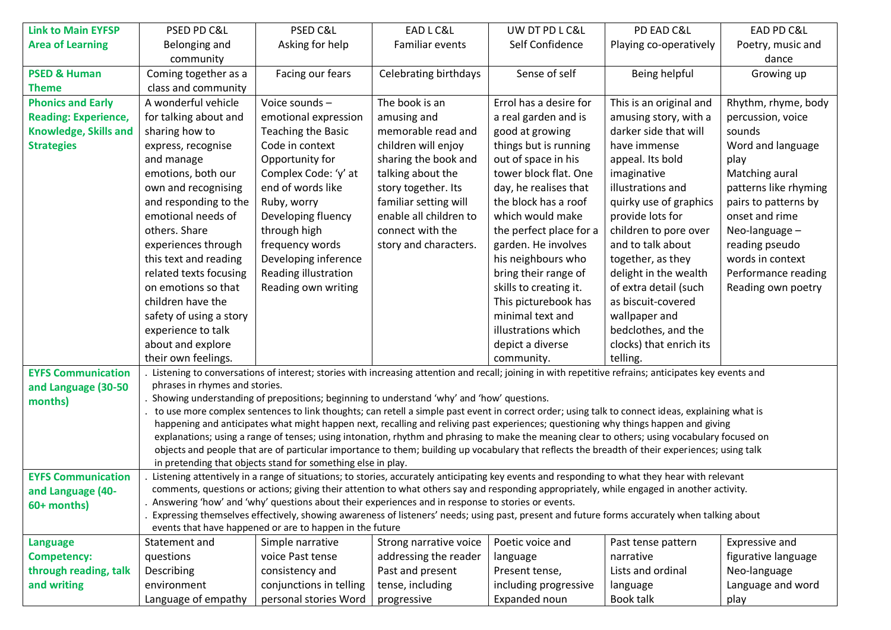| <b>Link to Main EYFSP</b>    | PSED PD C&L                    | PSED C&L                                                                                          | EAD L C&L                    | UW DT PD L C&L          | PD EAD C&L                                                                                                                                            | EAD PD C&L            |
|------------------------------|--------------------------------|---------------------------------------------------------------------------------------------------|------------------------------|-------------------------|-------------------------------------------------------------------------------------------------------------------------------------------------------|-----------------------|
| <b>Area of Learning</b>      | Belonging and                  | Asking for help                                                                                   | Familiar events              | Self Confidence         | Playing co-operatively                                                                                                                                | Poetry, music and     |
|                              | community                      |                                                                                                   |                              |                         |                                                                                                                                                       | dance                 |
|                              |                                |                                                                                                   |                              | Sense of self           |                                                                                                                                                       |                       |
| <b>PSED &amp; Human</b>      | Coming together as a           | Facing our fears                                                                                  | <b>Celebrating birthdays</b> |                         | Being helpful                                                                                                                                         | Growing up            |
| <b>Theme</b>                 | class and community            |                                                                                                   |                              |                         |                                                                                                                                                       |                       |
| <b>Phonics and Early</b>     | A wonderful vehicle            | Voice sounds-                                                                                     | The book is an               | Errol has a desire for  | This is an original and                                                                                                                               | Rhythm, rhyme, body   |
| <b>Reading: Experience,</b>  | for talking about and          | emotional expression                                                                              | amusing and                  | a real garden and is    | amusing story, with a                                                                                                                                 | percussion, voice     |
| <b>Knowledge, Skills and</b> | sharing how to                 | Teaching the Basic                                                                                | memorable read and           | good at growing         | darker side that will                                                                                                                                 | sounds                |
| <b>Strategies</b>            | express, recognise             | Code in context                                                                                   | children will enjoy          | things but is running   | have immense                                                                                                                                          | Word and language     |
|                              | and manage                     | Opportunity for                                                                                   | sharing the book and         | out of space in his     | appeal. Its bold                                                                                                                                      | play                  |
|                              | emotions, both our             | Complex Code: 'y' at                                                                              | talking about the            | tower block flat. One   | imaginative                                                                                                                                           | Matching aural        |
|                              | own and recognising            | end of words like                                                                                 | story together. Its          | day, he realises that   | illustrations and                                                                                                                                     | patterns like rhyming |
|                              | and responding to the          | Ruby, worry                                                                                       | familiar setting will        | the block has a roof    | quirky use of graphics                                                                                                                                | pairs to patterns by  |
|                              | emotional needs of             | Developing fluency                                                                                | enable all children to       | which would make        | provide lots for                                                                                                                                      | onset and rime        |
|                              | others. Share                  | through high                                                                                      | connect with the             | the perfect place for a | children to pore over                                                                                                                                 | Neo-language -        |
|                              | experiences through            | frequency words                                                                                   | story and characters.        | garden. He involves     | and to talk about                                                                                                                                     | reading pseudo        |
|                              | this text and reading          | Developing inference                                                                              |                              | his neighbours who      | together, as they                                                                                                                                     | words in context      |
|                              | related texts focusing         | Reading illustration                                                                              |                              | bring their range of    | delight in the wealth                                                                                                                                 | Performance reading   |
|                              | on emotions so that            | Reading own writing                                                                               |                              | skills to creating it.  | of extra detail (such                                                                                                                                 | Reading own poetry    |
|                              | children have the              |                                                                                                   |                              | This picturebook has    | as biscuit-covered                                                                                                                                    |                       |
|                              | safety of using a story        |                                                                                                   |                              | minimal text and        | wallpaper and                                                                                                                                         |                       |
|                              | experience to talk             |                                                                                                   |                              | illustrations which     | bedclothes, and the                                                                                                                                   |                       |
|                              | about and explore              |                                                                                                   |                              | depict a diverse        | clocks) that enrich its                                                                                                                               |                       |
|                              | their own feelings.            |                                                                                                   |                              | community.              | telling.                                                                                                                                              |                       |
|                              |                                |                                                                                                   |                              |                         | Listening to conversations of interest; stories with increasing attention and recall; joining in with repetitive refrains; anticipates key events and |                       |
| <b>EYFS Communication</b>    | phrases in rhymes and stories. |                                                                                                   |                              |                         |                                                                                                                                                       |                       |
| and Language (30-50          |                                | Showing understanding of prepositions; beginning to understand 'why' and 'how' questions.         |                              |                         |                                                                                                                                                       |                       |
| months)                      |                                |                                                                                                   |                              |                         | to use more complex sentences to link thoughts; can retell a simple past event in correct order; using talk to connect ideas, explaining what is      |                       |
|                              |                                |                                                                                                   |                              |                         | happening and anticipates what might happen next, recalling and reliving past experiences; questioning why things happen and giving                   |                       |
|                              |                                |                                                                                                   |                              |                         | explanations; using a range of tenses; using intonation, rhythm and phrasing to make the meaning clear to others; using vocabulary focused on         |                       |
|                              |                                |                                                                                                   |                              |                         | objects and people that are of particular importance to them; building up vocabulary that reflects the breadth of their experiences; using talk       |                       |
|                              |                                | in pretending that objects stand for something else in play.                                      |                              |                         |                                                                                                                                                       |                       |
| <b>EYFS Communication</b>    |                                |                                                                                                   |                              |                         | Listening attentively in a range of situations; to stories, accurately anticipating key events and responding to what they hear with relevant         |                       |
| and Language (40-            |                                |                                                                                                   |                              |                         | comments, questions or actions; giving their attention to what others say and responding appropriately, while engaged in another activity.            |                       |
| 60+ months)                  |                                | Answering 'how' and 'why' questions about their experiences and in response to stories or events. |                              |                         |                                                                                                                                                       |                       |
|                              |                                |                                                                                                   |                              |                         | Expressing themselves effectively, showing awareness of listeners' needs; using past, present and future forms accurately when talking about          |                       |
|                              |                                | events that have happened or are to happen in the future                                          |                              |                         |                                                                                                                                                       |                       |
| <b>Language</b>              | Statement and                  | Simple narrative                                                                                  | Strong narrative voice       | Poetic voice and        | Past tense pattern                                                                                                                                    | Expressive and        |
| <b>Competency:</b>           | questions                      | voice Past tense                                                                                  | addressing the reader        | language                | narrative                                                                                                                                             | figurative language   |
| through reading, talk        | Describing                     | consistency and                                                                                   | Past and present             | Present tense,          | Lists and ordinal                                                                                                                                     | Neo-language          |
| and writing                  | environment                    | conjunctions in telling                                                                           | tense, including             | including progressive   | language                                                                                                                                              | Language and word     |
|                              | Language of empathy            | personal stories Word                                                                             | progressive                  | Expanded noun           | Book talk                                                                                                                                             | play                  |